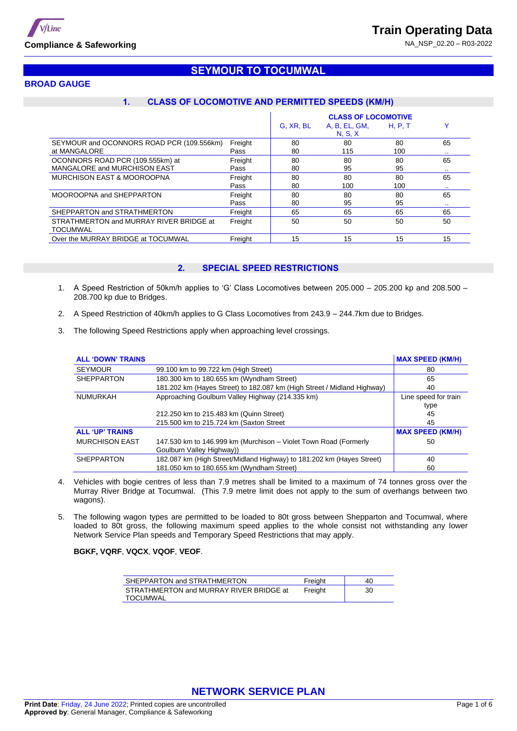



## **BROAD GAUGE**

# **1. CLASS OF LOCOMOTIVE AND PERMITTED SPEEDS (KM/H)**

**SEYMOUR TO TOCUMWAL**

|                                           |         | <b>CLASS OF LOCOMOTIVE</b> |               |         |              |  |
|-------------------------------------------|---------|----------------------------|---------------|---------|--------------|--|
|                                           |         | G. XR, BL                  | A, B, EL, GM, | H. P. T | $\checkmark$ |  |
|                                           |         |                            | N, S, X       |         |              |  |
| SEYMOUR and OCONNORS ROAD PCR (109.556km) | Freight | 80                         | 80            | 80      | 65           |  |
| at MANGALORE                              | Pass    | 80                         | 115           | 100     | $\cdots$     |  |
| OCONNORS ROAD PCR (109.555km) at          | Freight | 80                         | 80            | 80      | 65           |  |
| MANGALORE and MURCHISON EAST              | Pass    | 80                         | 95            | 95      | $\cdot$ .    |  |
| <b>MURCHISON EAST &amp; MOOROOPNA</b>     | Freight | 80                         | 80            | 80      | 65           |  |
|                                           | Pass    | 80                         | 100           | 100     | $\cdots$     |  |
| MOOROOPNA and SHEPPARTON                  | Freight | 80                         | 80            | 80      | 65           |  |
|                                           | Pass    | 80                         | 95            | 95      | $\cdots$     |  |
| SHEPPARTON and STRATHMERTON               | Freight | 65                         | 65            | 65      | 65           |  |
| STRATHMERTON and MURRAY RIVER BRIDGE at   | Freight | 50                         | 50            | 50      | 50           |  |
| TOCUMWAL                                  |         |                            |               |         |              |  |
| Over the MURRAY BRIDGE at TOCUMWAL        | Freight | 15                         | 15            | 15      | 15           |  |

### **2. SPECIAL SPEED RESTRICTIONS**

- 1. A Speed Restriction of 50km/h applies to 'G' Class Locomotives between 205.000 205.200 kp and 208.500 208.700 kp due to Bridges.
- 2. A Speed Restriction of 40km/h applies to G Class Locomotives from 243.9 244.7km due to Bridges.
- 3. The following Speed Restrictions apply when approaching level crossings.

| <b>ALL 'DOWN' TRAINS</b> |                                                                                              | <b>MAX SPEED (KM/H)</b>      |
|--------------------------|----------------------------------------------------------------------------------------------|------------------------------|
| <b>SEYMOUR</b>           | 99.100 km to 99.722 km (High Street)                                                         | 80                           |
| <b>SHEPPARTON</b>        | 180.300 km to 180.655 km (Wyndham Street)                                                    | 65                           |
|                          | 181.202 km (Hayes Street) to 182.087 km (High Street / Midland Highway)                      | 40                           |
| <b>NUMURKAH</b>          | Approaching Goulburn Valley Highway (214.335 km)                                             | Line speed for train<br>type |
|                          | 212.250 km to 215.483 km (Quinn Street)                                                      | 45                           |
|                          | 215.500 km to 215.724 km (Saxton Street)                                                     | 45                           |
| <b>ALL 'UP' TRAINS</b>   |                                                                                              | <b>MAX SPEED (KM/H)</b>      |
| <b>MURCHISON EAST</b>    | 147.530 km to 146.999 km (Murchison – Violet Town Road (Formerly<br>Goulburn Valley Highway) | 50                           |
| <b>SHEPPARTON</b>        | 182.087 km (High Street/Midland Highway) to 181.202 km (Hayes Street)                        | 40                           |
|                          | 181.050 km to 180.655 km (Wyndham Street)                                                    | 60                           |

- 4. Vehicles with bogie centres of less than 7.9 metres shall be limited to a maximum of 74 tonnes gross over the Murray River Bridge at Tocumwal. (This 7.9 metre limit does not apply to the sum of overhangs between two wagons).
- 5. The following wagon types are permitted to be loaded to 80t gross between Shepparton and Tocumwal, where loaded to 80t gross, the following maximum speed applies to the whole consist not withstanding any lower Network Service Plan speeds and Temporary Speed Restrictions that may apply.

#### **BGKF, VQRF**, **VQCX**, **VQOF**, **VEOF**.

| SHEPPARTON and STRATHMERTON                         | Freight | 40 |
|-----------------------------------------------------|---------|----|
| STRATHMERTON and MURRAY RIVER BRIDGE at<br>TOCUMWAL | Freight | 30 |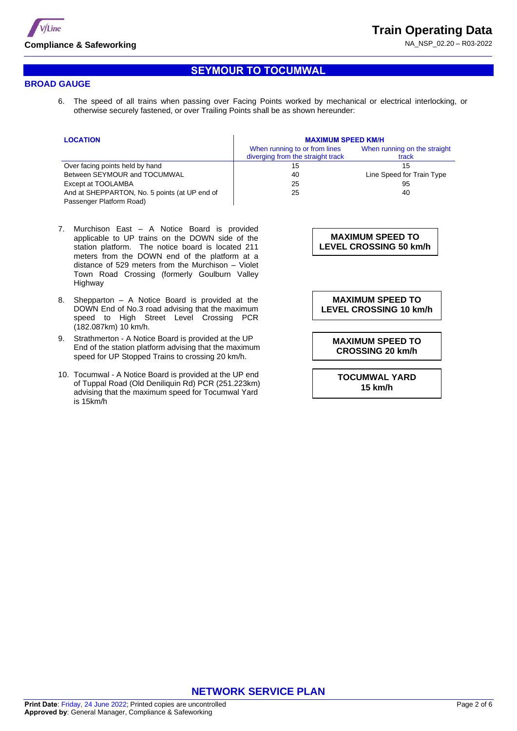

## **SEYMOUR TO TOCUMWAL**

### **BROAD GAUGE**

6. The speed of all trains when passing over Facing Points worked by mechanical or electrical interlocking, or otherwise securely fastened, or over Trailing Points shall be as shown hereunder:

| <b>LOCATION</b>                               | <b>MAXIMUM SPEED KM/H</b>                                          |                                       |  |  |  |
|-----------------------------------------------|--------------------------------------------------------------------|---------------------------------------|--|--|--|
|                                               | When running to or from lines<br>diverging from the straight track | When running on the straight<br>track |  |  |  |
| Over facing points held by hand               | 15                                                                 | 15                                    |  |  |  |
| Between SEYMOUR and TOCUMWAL                  | 40                                                                 | Line Speed for Train Type             |  |  |  |
| Except at TOOLAMBA                            | 25                                                                 | 95                                    |  |  |  |
| And at SHEPPARTON, No. 5 points (at UP end of | 25                                                                 | 40                                    |  |  |  |
| Passenger Platform Road)                      |                                                                    |                                       |  |  |  |

- 7. Murchison East A Notice Board is provided applicable to UP trains on the DOWN side of the station platform. The notice board is located 211 meters from the DOWN end of the platform at a distance of 529 meters from the Murchison – Violet Town Road Crossing (formerly Goulburn Valley Highway
- 8. Shepparton A Notice Board is provided at the DOWN End of No.3 road advising that the maximum speed to High Street Level Crossing PCR (182.087km) 10 km/h.
- 9. Strathmerton A Notice Board is provided at the UP End of the station platform advising that the maximum speed for UP Stopped Trains to crossing 20 km/h.
- 10. Tocumwal A Notice Board is provided at the UP end of Tuppal Road (Old Deniliquin Rd) PCR (251.223km) advising that the maximum speed for Tocumwal Yard is 15km/h

**MAXIMUM SPEED TO LEVEL CROSSING 50 km/h**

**MAXIMUM SPEED TO LEVEL CROSSING 10 km/h**

**MAXIMUM SPEED TO CROSSING 20 km/h**

**TOCUMWAL YARD 15 km/h**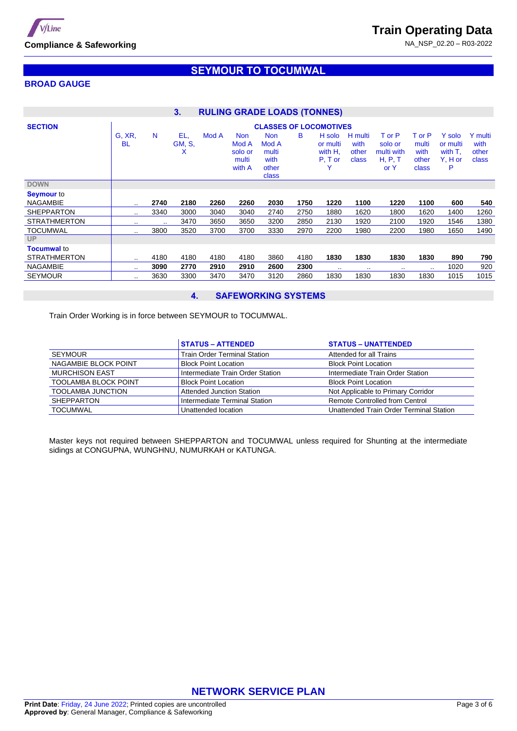

**Train Operating Data**

NA\_NSP\_02.20 – R03-2022

## **BROAD GAUGE**

## **SEYMOUR TO TOCUMWAL**

| <b>RULING GRADE LOADS (TONNES)</b><br>3. |                               |         |                           |       |                                                   |                                                        |      |                                            |                                   |                                                    |                                           |                                               |                                   |
|------------------------------------------|-------------------------------|---------|---------------------------|-------|---------------------------------------------------|--------------------------------------------------------|------|--------------------------------------------|-----------------------------------|----------------------------------------------------|-------------------------------------------|-----------------------------------------------|-----------------------------------|
| <b>SECTION</b>                           | <b>CLASSES OF LOCOMOTIVES</b> |         |                           |       |                                                   |                                                        |      |                                            |                                   |                                                    |                                           |                                               |                                   |
|                                          | G, XR,<br><b>BL</b>           | N.      | EL,<br><b>GM, S.</b><br>X | Mod A | <b>Non</b><br>Mod A<br>solo or<br>multi<br>with A | <b>Non</b><br>Mod A<br>multi<br>with<br>other<br>class | в    | H solo<br>or multi<br>with H.<br>$P, T$ or | H multi<br>with<br>other<br>class | T or P<br>solo or<br>multi with<br>H, P, T<br>or Y | T or P<br>multi<br>with<br>other<br>class | Y solo<br>or multi<br>with T.<br>Y, H or<br>P | Y multi<br>with<br>other<br>class |
| <b>DOWN</b>                              |                               |         |                           |       |                                                   |                                                        |      |                                            |                                   |                                                    |                                           |                                               |                                   |
| <b>Seymour</b> to                        |                               |         |                           |       |                                                   |                                                        |      |                                            |                                   |                                                    |                                           |                                               |                                   |
| <b>NAGAMBIE</b>                          | $\cdot$ .                     | 2740    | 2180                      | 2260  | 2260                                              | 2030                                                   | 1750 | 1220                                       | 1100                              | 1220                                               | 1100                                      | 600                                           | 540                               |
| <b>SHEPPARTON</b>                        | $\cdot$ .                     | 3340    | 3000                      | 3040  | 3040                                              | 2740                                                   | 2750 | 1880                                       | 1620                              | 1800                                               | 1620                                      | 1400                                          | 1260                              |
| <b>STRATHMERTON</b>                      | $\sim$                        | $\cdot$ | 3470                      | 3650  | 3650                                              | 3200                                                   | 2850 | 2130                                       | 1920                              | 2100                                               | 1920                                      | 1546                                          | 1380                              |
| <b>TOCUMWAL</b>                          | $\cdot$ .                     | 3800    | 3520                      | 3700  | 3700                                              | 3330                                                   | 2970 | 2200                                       | 1980                              | 2200                                               | 1980                                      | 1650                                          | 1490                              |
| <b>UP</b>                                |                               |         |                           |       |                                                   |                                                        |      |                                            |                                   |                                                    |                                           |                                               |                                   |
| <b>Tocumwal to</b>                       |                               |         |                           |       |                                                   |                                                        |      |                                            |                                   |                                                    |                                           |                                               |                                   |
| <b>STRATHMERTON</b>                      |                               | 4180    | 4180                      | 4180  | 4180                                              | 3860                                                   | 4180 | 1830                                       | 1830                              | 1830                                               | 1830                                      | 890                                           | 790                               |
| <b>NAGAMBIE</b>                          | $\sim$                        | 3090    | 2770                      | 2910  | 2910                                              | 2600                                                   | 2300 | $\sim$ $\sim$                              | $\sim$ $\sim$                     | $\cdot$                                            | $\sim$ $\sim$                             | 1020                                          | 920                               |
| <b>SEYMOUR</b>                           | $\cdot$ .                     | 3630    | 3300                      | 3470  | 3470                                              | 3120                                                   | 2860 | 1830                                       | 1830                              | 1830                                               | 1830                                      | 1015                                          | 1015                              |

### **4. SAFEWORKING SYSTEMS**

Train Order Working is in force between SEYMOUR to TOCUMWAL.

|                             | <b>STATUS - ATTENDED</b>            | <b>STATUS - UNATTENDED</b>              |
|-----------------------------|-------------------------------------|-----------------------------------------|
| SEYMOUR                     | <b>Train Order Terminal Station</b> | Attended for all Trains                 |
| NAGAMBIE BLOCK POINT        | <b>Block Point Location</b>         | <b>Block Point Location</b>             |
| <b>MURCHISON EAST</b>       | Intermediate Train Order Station    | Intermediate Train Order Station        |
| <b>TOOLAMBA BLOCK POINT</b> | <b>Block Point Location</b>         | <b>Block Point Location</b>             |
| <b>TOOLAMBA JUNCTION</b>    | Attended Junction Station           | Not Applicable to Primary Corridor      |
| <b>SHEPPARTON</b>           | Intermediate Terminal Station       | Remote Controlled from Centrol          |
| <b>TOCUMWAL</b>             | Unattended location                 | Unattended Train Order Terminal Station |

Master keys not required between SHEPPARTON and TOCUMWAL unless required for Shunting at the intermediate sidings at CONGUPNA, WUNGHNU, NUMURKAH or KATUNGA.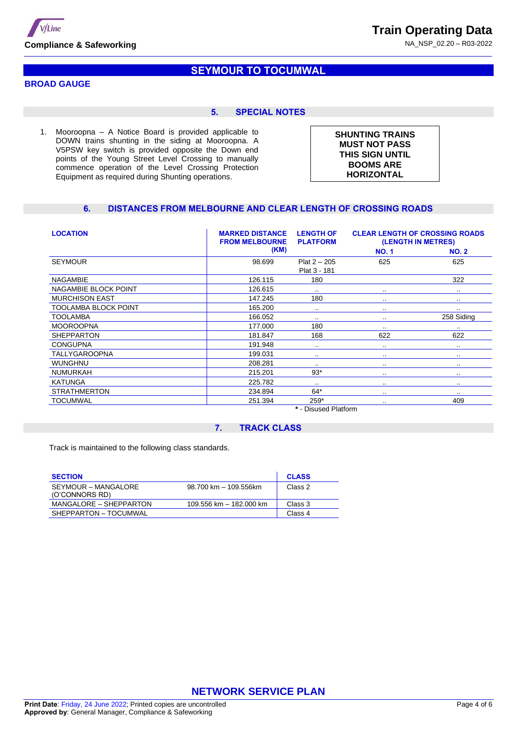

**Train Operating Data**

NA\_NSP\_02.20 – R03-2022

### **BROAD GAUGE**

## **SEYMOUR TO TOCUMWAL**

### **5. SPECIAL NOTES**

1. Mooroopna – A Notice Board is provided applicable to DOWN trains shunting in the siding at Mooroopna. A V5PSW key switch is provided opposite the Down end points of the Young Street Level Crossing to manually commence operation of the Level Crossing Protection Equipment as required during Shunting operations.

**SHUNTING TRAINS MUST NOT PASS THIS SIGN UNTIL BOOMS ARE HORIZONTAL**

### **6. DISTANCES FROM MELBOURNE AND CLEAR LENGTH OF CROSSING ROADS**

| <b>LOCATION</b>             | <b>MARKED DISTANCE</b><br><b>LENGTH OF</b><br><b>FROM MELBOURNE</b><br><b>PLATFORM</b> |                                     | <b>CLEAR LENGTH OF CROSSING ROADS</b><br>(LENGTH IN METRES) |               |  |  |
|-----------------------------|----------------------------------------------------------------------------------------|-------------------------------------|-------------------------------------------------------------|---------------|--|--|
|                             | (KM)                                                                                   |                                     | <b>NO.1</b>                                                 | <b>NO. 2</b>  |  |  |
| <b>SEYMOUR</b>              | 98.699                                                                                 | $Plat 2 - 205$                      | 625                                                         | 625           |  |  |
|                             |                                                                                        | Plat 3 - 181                        |                                                             |               |  |  |
| <b>NAGAMBIE</b>             | 126.115                                                                                | 180                                 |                                                             | 322           |  |  |
| NAGAMBIE BLOCK POINT        | 126.615                                                                                | $\sim$                              | $\cdot$ .                                                   | $\cdots$      |  |  |
| <b>MURCHISON EAST</b>       | 147.245                                                                                | 180                                 |                                                             | $\sim$ $\sim$ |  |  |
| <b>TOOLAMBA BLOCK POINT</b> | 165.200                                                                                | $\sim$ $\sim$                       | $\cdot$ .                                                   | $\sim$ $\sim$ |  |  |
| <b>TOOLAMBA</b>             | 166.052                                                                                | $\sim$ $\sim$                       |                                                             | 258 Siding    |  |  |
| <b>MOOROOPNA</b>            | 177.000                                                                                | 180                                 | $\sim$                                                      | $\sim$        |  |  |
| <b>SHEPPARTON</b>           | 181.847                                                                                | 168                                 | 622                                                         | 622           |  |  |
| <b>CONGUPNA</b>             | 191.948                                                                                | $\sim$ $\sim$                       |                                                             | $\cdot$       |  |  |
| <b>TALLYGAROOPNA</b>        | 199.031                                                                                | $\sim$ $\sim$                       | $\cdot$ .                                                   | $\sim$ $\sim$ |  |  |
| <b>WUNGHNU</b>              | 208.281                                                                                | $\cdot$ .                           |                                                             | $\sim$ $\sim$ |  |  |
| <b>NUMURKAH</b>             | 215.201                                                                                | $93*$                               |                                                             | $\cdot$       |  |  |
| <b>KATUNGA</b>              | 225.782                                                                                | $\sim$ $\sim$                       |                                                             | $\cdot$       |  |  |
| <b>STRATHMERTON</b>         | 234.894                                                                                | $64*$                               | $\cdot$ .                                                   | $\sim$        |  |  |
| TOCUMWAL                    | 251.394                                                                                | $259*$                              | $\sim$ $\sim$                                               | 409           |  |  |
|                             |                                                                                        | $\bullet$ Distribution of $\bullet$ |                                                             |               |  |  |

**\*** - Disused Platform

### **7. TRACK CLASS**

Track is maintained to the following class standards.

| <b>SECTION</b>                        |                         | <b>CLASS</b> |
|---------------------------------------|-------------------------|--------------|
| SEYMOUR – MANGALORE<br>(O'CONNORS RD) | 98.700 km - 109.556km   | Class 2      |
| MANGALORE – SHEPPARTON                | 109.556 km - 182.000 km | Class 3      |
| SHEPPARTON - TOCUMWAL                 |                         | Class 4      |

**NETWORK SERVICE PLAN**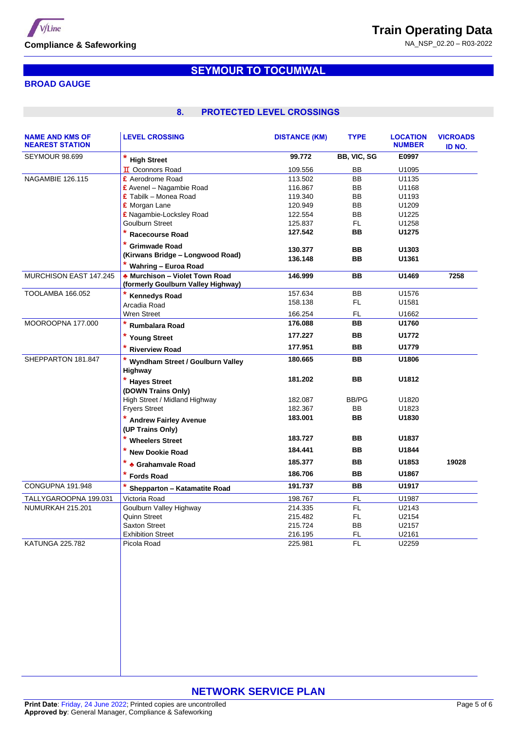

NA\_NSP\_02.20 – R03-2022

## **BROAD GAUGE**

# **SEYMOUR TO TOCUMWAL**

## **8. PROTECTED LEVEL CROSSINGS**

| <b>NAME AND KMS OF</b><br><b>NEAREST STATION</b> | <b>LEVEL CROSSING</b>                                              | <b>DISTANCE (KM)</b> | <b>TYPE</b> | <b>LOCATION</b><br><b>NUMBER</b> | <b>VICROADS</b><br>ID NO. |
|--------------------------------------------------|--------------------------------------------------------------------|----------------------|-------------|----------------------------------|---------------------------|
| <b>SEYMOUR 98.699</b>                            | * High Street                                                      | 99.772               | BB, VIC, SG | E0997                            |                           |
|                                                  | <b>II</b> Oconnors Road                                            | 109.556              | BB          | U1095                            |                           |
| <b>NAGAMBIE 126.115</b>                          | £ Aerodrome Road                                                   | 113.502              | <b>BB</b>   | U1135                            |                           |
|                                                  | £ Avenel – Nagambie Road                                           | 116.867              | BB          | U1168                            |                           |
|                                                  | $E$ Tabilk – Monea Road                                            | 119.340              | <b>BB</b>   | U1193                            |                           |
|                                                  | £ Morgan Lane                                                      | 120.949              | <b>BB</b>   | U1209                            |                           |
|                                                  | £ Nagambie-Locksley Road                                           | 122.554              | <b>BB</b>   | U1225                            |                           |
|                                                  | Goulburn Street                                                    | 125.837              | FL.         | U1258                            |                           |
|                                                  | * Racecourse Road                                                  | 127.542              | BB.         | U1275                            |                           |
|                                                  | * Grimwade Road                                                    | 130.377              | BB          | U1303                            |                           |
|                                                  | (Kirwans Bridge - Longwood Road)                                   | 136.148              | BB          | U1361                            |                           |
|                                                  | * Wahring - Euroa Road                                             |                      |             |                                  |                           |
| MURCHISON EAST 147.245                           | Murchison - Violet Town Road<br>(formerly Goulburn Valley Highway) | 146.999              | BB          | U1469                            | 7258                      |
| TOOLAMBA 166.052                                 | * Kennedys Road                                                    | 157.634              | BB          | U1576                            |                           |
|                                                  | Arcadia Road                                                       | 158.138              | FL.         | U1581                            |                           |
|                                                  | Wren Street                                                        | 166.254              | FL.         | U1662                            |                           |
| MOOROOPNA 177.000                                | Rumbalara Road                                                     | 176.088              | <b>BB</b>   | U1760                            |                           |
|                                                  | * Young Street                                                     | 177.227              | <b>BB</b>   | U1772                            |                           |
|                                                  | <b>Riverview Road</b>                                              | 177.951              | BB          | U1779                            |                           |
| SHEPPARTON 181.847                               | Wyndham Street / Goulburn Valley<br>Highway                        | 180.665              | <b>BB</b>   | U1806                            |                           |
|                                                  | * Hayes Street                                                     | 181.202              | <b>BB</b>   | U1812                            |                           |
|                                                  | (DOWN Trains Only)                                                 |                      |             |                                  |                           |
|                                                  | High Street / Midland Highway                                      | 182.087              | BB/PG       | U1820                            |                           |
|                                                  | <b>Fryers Street</b>                                               | 182.367              | <b>BB</b>   | U1823                            |                           |
|                                                  | * Andrew Fairley Avenue                                            | 183.001              | BB          | U1830                            |                           |
|                                                  | (UP Trains Only)                                                   |                      |             |                                  |                           |
|                                                  | * Wheelers Street                                                  | 183.727              | BB          | U1837                            |                           |
|                                                  | * New Dookie Road                                                  | 184.441              | BB          | U1844                            |                           |
|                                                  | * Grahamvale Road                                                  | 185.377              | BB          | U1853                            | 19028                     |
|                                                  | * Fords Road                                                       | 186.706              | <b>BB</b>   | U1867                            |                           |
| CONGUPNA 191.948                                 | Shepparton - Katamatite Road                                       | 191.737              | BB          | U1917                            |                           |
| TALLYGAROOPNA 199.031                            | Victoria Road                                                      | 198.767              | <b>FL</b>   | U1987                            |                           |
| NUMURKAH 215.201                                 | Goulburn Valley Highway                                            | 214.335              | FL.         | U2143                            |                           |
|                                                  | Quinn Street                                                       | 215.482              | FL.         | U2154                            |                           |
|                                                  | <b>Saxton Street</b>                                               | 215.724              | <b>BB</b>   | U2157                            |                           |
|                                                  | <b>Exhibition Street</b>                                           | 216.195              | FL.         | U2161                            |                           |
| <b>KATUNGA 225.782</b>                           | Picola Road                                                        | 225.981              | <b>FL</b>   | U2259                            |                           |
|                                                  |                                                                    |                      |             |                                  |                           |

## **NETWORK SERVICE PLAN**